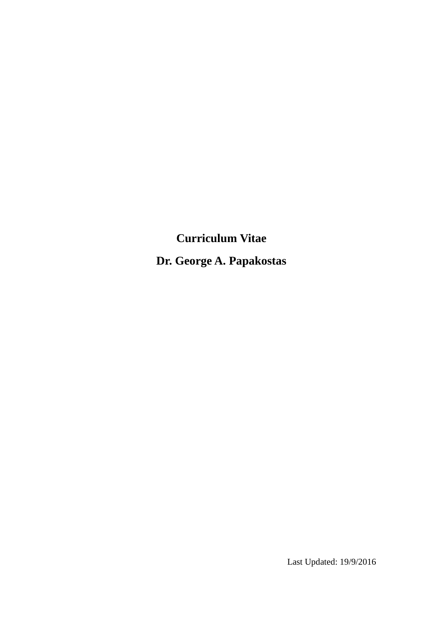**Curriculum Vitae Dr. George A. Papakostas**

Last Updated: 19/9/2016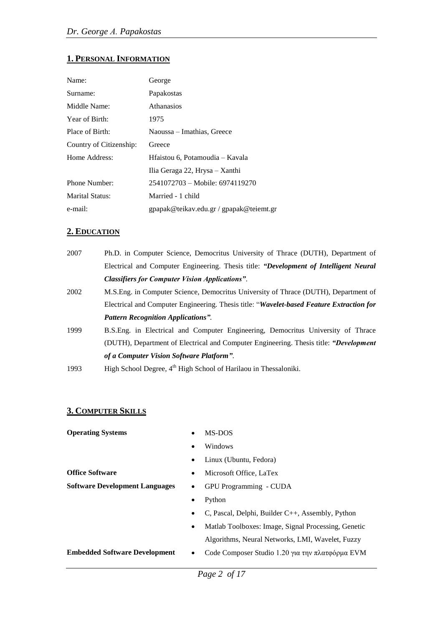# **1. PERSONAL INFORMATION**

| Name:                   | George                                  |
|-------------------------|-----------------------------------------|
| Surname:                | Papakostas                              |
| Middle Name:            | <b>Athanasios</b>                       |
| Year of Birth:          | 1975                                    |
| Place of Birth:         | Naoussa – Imathias, Greece              |
| Country of Citizenship: | Greece                                  |
| Home Address:           | Hfaistou 6, Potamoudia – Kavala         |
|                         | Ilia Geraga 22, Hrysa – Xanthi          |
| Phone Number:           | 2541072703 - Mobile: 6974119270         |
| Marital Status:         | Married - 1 child                       |
| e-mail:                 | gpapak@teikav.edu.gr / gpapak@teiemt.gr |

### **2. EDUCATION**

| 2007 | Ph.D. in Computer Science, Democritus University of Thrace (DUTH), Department of         |
|------|------------------------------------------------------------------------------------------|
|      | Electrical and Computer Engineering. Thesis title: "Development of Intelligent Neural"   |
|      | <b>Classifiers for Computer Vision Applications".</b>                                    |
| 2002 | M.S.Eng. in Computer Science, Democritus University of Thrace (DUTH), Department of      |
|      | Electrical and Computer Engineering. Thesis title: "Wavelet-based Feature Extraction for |
|      | <b>Pattern Recognition Applications".</b>                                                |
| 1999 | B.S.Eng. in Electrical and Computer Engineering, Democritus University of Thrace         |
|      | (DUTH), Department of Electrical and Computer Engineering. Thesis title: "Development"   |
|      | of a Computer Vision Software Platform".                                                 |
| 1993 | High School Degree, 4 <sup>th</sup> High School of Harilaou in Thessaloniki.             |

# **3. COMPUTER SKILLS**

| <b>Operating Systems</b>              | MS-DOS<br>$\bullet$                                                 |
|---------------------------------------|---------------------------------------------------------------------|
|                                       | Windows<br>$\bullet$                                                |
|                                       | Linux (Ubuntu, Fedora)<br>$\bullet$                                 |
| <b>Office Software</b>                | Microsoft Office, LaTex<br>$\bullet$                                |
| <b>Software Development Languages</b> | GPU Programming - CUDA<br>$\bullet$                                 |
|                                       | Python<br>$\bullet$                                                 |
|                                       | C, Pascal, Delphi, Builder $C_{++}$ , Assembly, Python<br>$\bullet$ |
|                                       | Matlab Toolboxes: Image, Signal Processing, Genetic<br>٠            |
|                                       | Algorithms, Neural Networks, LMI, Wavelet, Fuzzy                    |
| <b>Embedded Software Development</b>  | Code Composer Studio 1.20 για την πλατφόρμα EVM<br>$\bullet$        |
|                                       |                                                                     |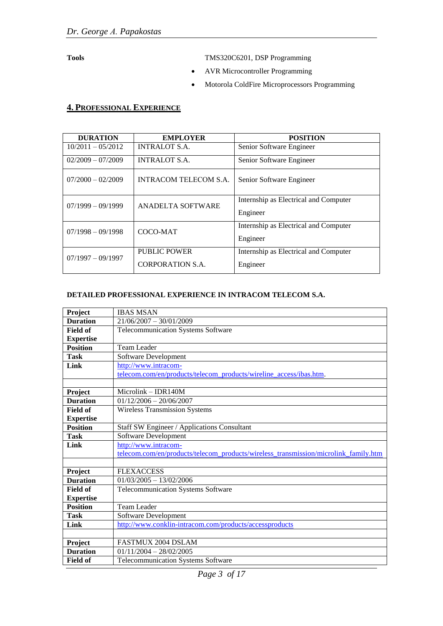**Tools** TMS320C6201, DSP Programming

- AVR Microcontroller Programming
- Motorola ColdFire Microprocessors Programming

#### **4. PROFESSIONAL EXPERIENCE**

| <b>DURATION</b>     | <b>EMPLOYER</b>       | <b>POSITION</b>                       |
|---------------------|-----------------------|---------------------------------------|
| $10/2011 - 05/2012$ | <b>INTRALOT S.A.</b>  | Senior Software Engineer              |
| $02/2009 - 07/2009$ | <b>INTRALOT S.A.</b>  | Senior Software Engineer              |
| $07/2000 - 02/2009$ | INTRACOM TELECOM S.A. | Senior Software Engineer              |
| $07/1999 - 09/1999$ | ANADELTA SOFTWARE     | Internship as Electrical and Computer |
|                     |                       | Engineer                              |
| $07/1998 - 09/1998$ | COCO-MAT              | Internship as Electrical and Computer |
|                     |                       | Engineer                              |
| $07/1997 - 09/1997$ | PUBLIC POWER          | Internship as Electrical and Computer |
|                     | CORPORATION S.A.      | Engineer                              |

#### **DETAILED PROFESSIONAL EXPERIENCE IN INTRACOM TELECOM S.A.**

| Project          | <b>IBAS MSAN</b>                                                                    |
|------------------|-------------------------------------------------------------------------------------|
| <b>Duration</b>  | $21/06/2007 - 30/01/2009$                                                           |
| <b>Field of</b>  | Telecommunication Systems Software                                                  |
| <b>Expertise</b> |                                                                                     |
| <b>Position</b>  | <b>Team Leader</b>                                                                  |
| <b>Task</b>      | Software Development                                                                |
| Link             | http://www.intracom-                                                                |
|                  | telecom.com/en/products/telecom_products/wireline_access/ibas.htm.                  |
|                  |                                                                                     |
| Project          | $Microlink - IDR140M$                                                               |
| <b>Duration</b>  | $01/12/2006 - 20/06/2007$                                                           |
| <b>Field of</b>  | <b>Wireless Transmission Systems</b>                                                |
| <b>Expertise</b> |                                                                                     |
| <b>Position</b>  | Staff SW Engineer / Applications Consultant                                         |
| <b>Task</b>      | Software Development                                                                |
| Link             | http://www.intracom-                                                                |
|                  | telecom.com/en/products/telecom products/wireless transmission/microlink family.htm |
|                  |                                                                                     |
| Project          | <b>FLEXACCESS</b>                                                                   |
| <b>Duration</b>  | $01/03/2005 - 13/02/2006$                                                           |
| <b>Field of</b>  | Telecommunication Systems Software                                                  |
| <b>Expertise</b> |                                                                                     |
| <b>Position</b>  | <b>Team Leader</b>                                                                  |
| <b>Task</b>      | Software Development                                                                |
| Link             | http://www.conklin-intracom.com/products/accessproducts                             |
|                  |                                                                                     |
| Project          | FASTMUX 2004 DSLAM                                                                  |
| <b>Duration</b>  | $01/11/2004 - 28/02/2005$                                                           |
| <b>Field of</b>  | <b>Telecommunication Systems Software</b>                                           |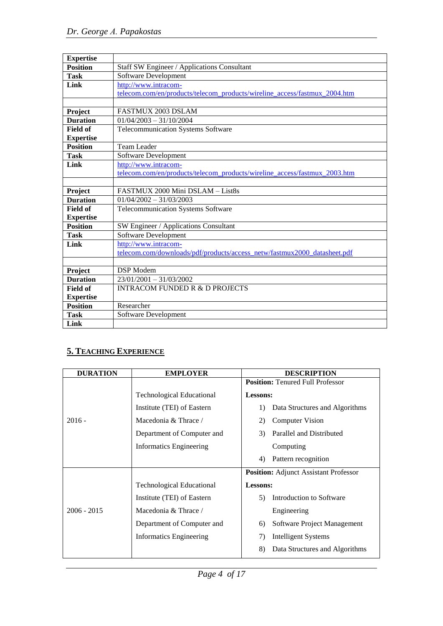| <b>Expertise</b> |                                                                           |
|------------------|---------------------------------------------------------------------------|
| <b>Position</b>  | Staff SW Engineer / Applications Consultant                               |
| <b>Task</b>      | Software Development                                                      |
| Link             | http://www.intracom-                                                      |
|                  | telecom.com/en/products/telecom_products/wireline_access/fastmux_2004.htm |
|                  |                                                                           |
| Project          | <b>FASTMUX 2003 DSLAM</b>                                                 |
| <b>Duration</b>  | $01/04/2003 - 31/10/2004$                                                 |
| <b>Field of</b>  | <b>Telecommunication Systems Software</b>                                 |
| <b>Expertise</b> |                                                                           |
| <b>Position</b>  | <b>Team Leader</b>                                                        |
| <b>Task</b>      | Software Development                                                      |
| Link             | http://www.intracom-                                                      |
|                  | telecom.com/en/products/telecom_products/wireline_access/fastmux_2003.htm |
|                  |                                                                           |
| Project          | FASTMUX 2000 Mini DSLAM - List8s                                          |
| <b>Duration</b>  | $01/04/2002 - 31/03/2003$                                                 |
| <b>Field of</b>  | <b>Telecommunication Systems Software</b>                                 |
| <b>Expertise</b> |                                                                           |
| <b>Position</b>  | SW Engineer / Applications Consultant                                     |
| <b>Task</b>      | <b>Software Development</b>                                               |
| Link             | http://www.intracom-                                                      |
|                  | telecom.com/downloads/pdf/products/access_netw/fastmux2000_datasheet.pdf  |
|                  |                                                                           |
| Project          | DSP Modem                                                                 |
| <b>Duration</b>  | $23/01/2001 - 31/03/2002$                                                 |
| <b>Field of</b>  | <b>INTRACOM FUNDED R &amp; D PROJECTS</b>                                 |
| <b>Expertise</b> |                                                                           |
| <b>Position</b>  | Researcher                                                                |
| <b>Task</b>      | Software Development                                                      |
| Link             |                                                                           |

# **5. TEACHING EXPERIENCE**

| <b>DURATION</b> | <b>EMPLOYER</b>                  | <b>DESCRIPTION</b>                                 |
|-----------------|----------------------------------|----------------------------------------------------|
|                 |                                  | <b>Position:</b> Tenured Full Professor            |
|                 | <b>Technological Educational</b> | <b>Lessons:</b>                                    |
|                 | Institute (TEI) of Eastern       | Data Structures and Algorithms<br>$\left( \right)$ |
| $2016 -$        | Macedonia & Thrace /             | <b>Computer Vision</b><br>2)                       |
|                 | Department of Computer and       | Parallel and Distributed<br>3)                     |
|                 | <b>Informatics Engineering</b>   | Computing                                          |
|                 |                                  | Pattern recognition<br>4)                          |
|                 |                                  | <b>Position:</b> Adjunct Assistant Professor       |
|                 | <b>Technological Educational</b> | Lessons:                                           |
|                 | Institute (TEI) of Eastern       | Introduction to Software<br>5)                     |
| $2006 - 2015$   | Macedonia & Thrace /             | Engineering                                        |
|                 | Department of Computer and       | Software Project Management<br>6)                  |
|                 | <b>Informatics Engineering</b>   | 7)<br>Intelligent Systems                          |
|                 |                                  | 8)<br>Data Structures and Algorithms               |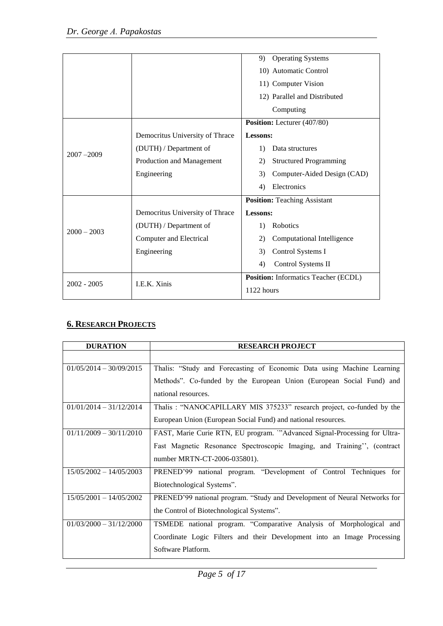|               |                                 | <b>Operating Systems</b><br>9)       |
|---------------|---------------------------------|--------------------------------------|
|               |                                 | 10) Automatic Control                |
|               |                                 | 11) Computer Vision                  |
|               |                                 | 12) Parallel and Distributed         |
|               |                                 | Computing                            |
|               |                                 | Position: Lecturer (407/80)          |
|               | Democritus University of Thrace | Lessons:                             |
|               | (DUTH) / Department of          | 1)<br>Data structures                |
| $2007 - 2009$ | Production and Management       | <b>Structured Programming</b><br>2)  |
|               | Engineering                     | Computer-Aided Design (CAD)<br>3)    |
|               |                                 | Electronics<br>4)                    |
|               |                                 | <b>Position:</b> Teaching Assistant  |
|               | Democritus University of Thrace | Lessons:                             |
| $2000 - 2003$ | (DUTH) / Department of          | Robotics<br>1)                       |
|               | Computer and Electrical         | 2)<br>Computational Intelligence     |
|               | Engineering                     | 3)<br>Control Systems I              |
|               |                                 | Control Systems II<br>4)             |
| $2002 - 2005$ | I.E.K. Xinis                    | Position: Informatics Teacher (ECDL) |
|               |                                 | 1122 hours                           |

# **6. RESEARCH PROJECTS**

| <b>DURATION</b>           | <b>RESEARCH PROJECT</b>                                                   |
|---------------------------|---------------------------------------------------------------------------|
|                           |                                                                           |
| $01/05/2014 - 30/09/2015$ | Thalis: "Study and Forecasting of Economic Data using Machine Learning    |
|                           | Methods". Co-funded by the European Union (European Social Fund) and      |
|                           | national resources.                                                       |
| $01/01/2014 - 31/12/2014$ | Thalis: "NANOCAPILLARY MIS 375233" research project, co-funded by the     |
|                           | European Union (European Social Fund) and national resources.             |
| $01/11/2009 - 30/11/2010$ | FAST, Marie Curie RTN, EU program. "Advanced Signal-Processing for Ultra- |
|                           | Fast Magnetic Resonance Spectroscopic Imaging, and Training", (contract   |
|                           | number MRTN-CT-2006-035801).                                              |
| $15/05/2002 - 14/05/2003$ | PRENED'99 national program. "Development of Control Techniques for        |
|                           | Biotechnological Systems".                                                |
| $15/05/2001 - 14/05/2002$ | PRENED'99 national program. "Study and Development of Neural Networks for |
|                           | the Control of Biotechnological Systems".                                 |
| $01/03/2000 - 31/12/2000$ | TSMEDE national program. "Comparative Analysis of Morphological and       |
|                           | Coordinate Logic Filters and their Development into an Image Processing   |
|                           | Software Platform.                                                        |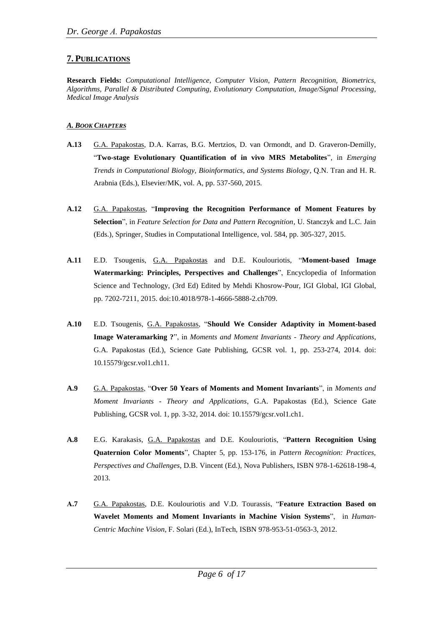# **7. PUBLICATIONS**

**Research Fields:** *Computational Intelligence, Computer Vision, Pattern Recognition, Biometrics, Algorithms, Parallel & Distributed Computing, Evolutionary Computation, Image/Signal Processing, Medical Image Analysis*

# *A. BOOK CHAPTERS*

- **A.13** G.A. Papakostas, D.A. Karras, B.G. Mertzios, D. van Ormondt, and D. Graveron-Demilly, "**Two-stage Evolutionary Quantification of in vivo MRS Metabolites**", in *Emerging Trends in Computational Biology, Bioinformatics, and Systems Biology*, Q.N. Tran and H. R. Arabnia (Eds.), Elsevier/MK, vol. A, pp. 537-560, 2015.
- **A.12** G.A. Papakostas, "**Improving the Recognition Performance of Moment Features by Selection**", in *Feature Selection for Data and Pattern Recognition*, U. Stanczyk and L.C. Jain (Eds.), Springer, Studies in Computational Intelligence, vol. 584, pp. 305-327, 2015.
- **A.11** E.D. Tsougenis, G.A. Papakostas and D.E. Koulouriotis, "**Moment-based Image Watermarking: Principles, Perspectives and Challenges**", Encyclopedia of Information Science and Technology, (3rd Ed) Edited by Mehdi Khosrow-Pour, IGI Global, IGI Global, pp. 7202-7211, 2015. doi:10.4018/978-1-4666-5888-2.ch709.
- **A.10** E.D. Tsougenis, G.A. Papakostas, "**Should We Consider Adaptivity in Moment-based Image Wateramarking ?**", in *Moments and Moment Invariants - Theory and Applications*, G.A. Papakostas (Ed.), Science Gate Publishing, GCSR vol. 1, pp. 253-274, 2014. doi: 10.15579/gcsr.vol1.ch11.
- **A.9** G.A. Papakostas, "**Over 50 Years of Moments and Moment Invariants**", in *Moments and Moment Invariants - Theory and Applications*, G.A. Papakostas (Ed.), Science Gate Publishing, GCSR vol. 1, pp. 3-32, 2014. doi: 10.15579/gcsr.vol1.ch1.
- **A.8** E.G. Karakasis, G.A. Papakostas and D.E. Koulouriotis, "**Pattern Recognition Using Quaternion Color Moments**", Chapter 5, pp. 153-176, in *Pattern Recognition: Practices, Perspectives and Challenges*, D.B. Vincent (Ed.), Nova Publishers, ISBN 978-1-62618-198-4, 2013.
- **Α.7** G.A. Papakostas, D.E. Koulouriotis and V.D. Tourassis, "**Feature Extraction Based on Wavelet Moments and Moment Invariants in Machine Vision Systems**", in *Human-Centric Machine Vision*, F. Solari (Ed.), InTech, ISBN 978-953-51-0563-3, 2012.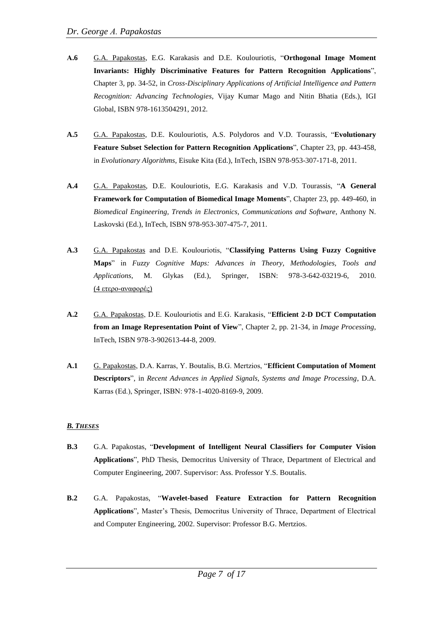- **Α.6** G.A. Papakostas, E.G. Karakasis and D.E. Koulouriotis, "**Orthogonal Image Moment Invariants: Highly Discriminative Features for Pattern Recognition Applications**", Chapter 3, pp. 34-52, in *Cross-Disciplinary Applications of Artificial Intelligence and Pattern Recognition: Advancing Technologies*, Vijay Kumar Mago and Nitin Bhatia (Eds.), IGI Global, ISBN 978-1613504291, 2012.
- **A.5** G.A. Papakostas, D.E. Koulouriotis, A.S. Polydoros and V.D. Tourassis, "**Evolutionary Feature Subset Selection for Pattern Recognition Applications**", Chapter 23, pp. 443-458, in *Evolutionary Algorithms*, Eisuke Kita (Ed.), InTech, ISBN 978-953-307-171-8, 2011.
- **A.4** G.A. Papakostas, D.E. Koulouriotis, E.G. Karakasis and V.D. Tourassis, "**A General Framework for Computation of Biomedical Image Moments**", Chapter 23, pp. 449-460, in *Biomedical Engineering, Trends in Electronics, Communications and Software*, Anthony N. Laskovski (Ed.), InTech, ISBN 978-953-307-475-7, 2011.
- **A.3** G.A. Papakostas and D.E. Koulouriotis, "**Classifying Patterns Using Fuzzy Cognitive Maps**" in *Fuzzy Cognitive Maps: Advances in Theory, Methodologies, Tools and Applications*, M. Glykas (Ed.), Springer, ISBN: 978-3-642-03219-6, 2010. (4 ετερο-αναφορές)
- **A.2** G.A. Papakostas, D.E. Koulouriotis and E.G. Karakasis, "**Efficient 2-D DCT Computation from an Image Representation Point of View**", Chapter 2, pp. 21-34, in *Image Processing*, InTech, ISBN 978-3-902613-44-8, 2009.
- **A.1** G. Papakostas, D.A. Karras, Y. Boutalis, B.G. Mertzios, "**Efficient Computation of Moment Descriptors**", in *Recent Advances in Applied Signals, Systems and Image Processing*, D.A. Karras (Εd.), Springer, ISBN: 978-1-4020-8169-9, 2009.

#### *B. THESES*

- **B.3** G.A. Papakostas, "**Development of Intelligent Neural Classifiers for Computer Vision Applications**", PhD Thesis, Democritus University of Thrace, Department of Electrical and Computer Engineering, 2007. Supervisor: Ass. Professor Y.S. Boutalis.
- **B.2** G.A. Papakostas, "**Wavelet-based Feature Extraction for Pattern Recognition Applications**", Master's Thesis, Democritus University of Thrace, Department of Electrical and Computer Engineering, 2002. Supervisor: Professor B.G. Mertzios.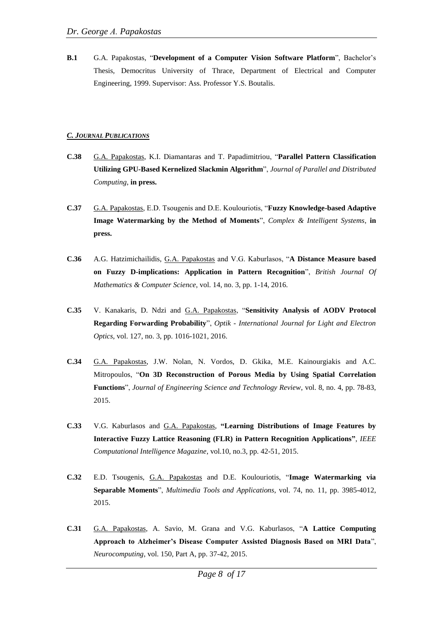**B.1** G.A. Papakostas, "**Development of a Computer Vision Software Platform**", Bachelor's Thesis, Democritus University of Thrace, Department of Electrical and Computer Engineering, 1999. Supervisor: Ass. Professor Y.S. Boutalis.

#### *C. JOURNAL PUBLICATIONS*

- **C.38** G.A. Papakostas, K.I. Diamantaras and T. Papadimitriou, "**Parallel Pattern Classification Utilizing GPU-Based Kernelized Slackmin Algorithm**", *Journal of Parallel and Distributed Computing*, **in press.**
- **C.37** G.A. Papakostas, E.D. Tsougenis and D.E. Koulouriotis, "**Fuzzy Knowledge-based Adaptive Image Watermarking by the Method of Moments**", *Complex & Intelligent Systems*, **in press.**
- **C.36** A.G. Hatzimichailidis, G.A. Papakostas and V.G. Kaburlasos, "**A Distance Measure based on Fuzzy D-implications: Application in Pattern Recognition**", *British Journal Of Mathematics & Computer Science*, vol. 14, no. 3, pp. 1-14, 2016.
- **C.35** V. Kanakaris, D. Ndzi and G.A. Papakostas, "**Sensitivity Analysis of AODV Protocol Regarding Forwarding Probability**", *Optik - International Journal for Light and Electron Optics*, vol. 127, no. 3, pp. 1016-1021, 2016.
- **C.34** G.A. Papakostas, J.W. Nolan, N. Vordos, D. Gkika, M.E. Kainourgiakis and A.C. Mitropoulos, "**On 3D Reconstruction of Porous Media by Using Spatial Correlation Functions**", *Journal of Engineering Science and Technology Review*, vol. 8, no. 4, pp. 78-83, 2015.
- **C.33** V.G. Kaburlasos and G.A. Papakostas, **"Learning Distributions of Image Features by Interactive Fuzzy Lattice Reasoning (FLR) in Pattern Recognition Applications"**, *IEEE Computational Intelligence Magazine*, vol.10, no.3, pp. 42-51, 2015.
- **C.32** E.D. Tsougenis, G.A. Papakostas and D.E. Koulouriotis, "**Image Watermarking via Separable Moments**", *Multimedia Tools and Applications*, vol. 74, no. 11, pp. 3985-4012, 2015.
- **C.31** G.A. Papakostas, A. Savio, M. Grana and V.G. Kaburlasos, "**A Lattice Computing Approach to Alzheimer's Disease Computer Assisted Diagnosis Based on MRI Data**", *Neurocomputing*, vol. 150, Part A, pp. 37-42, 2015.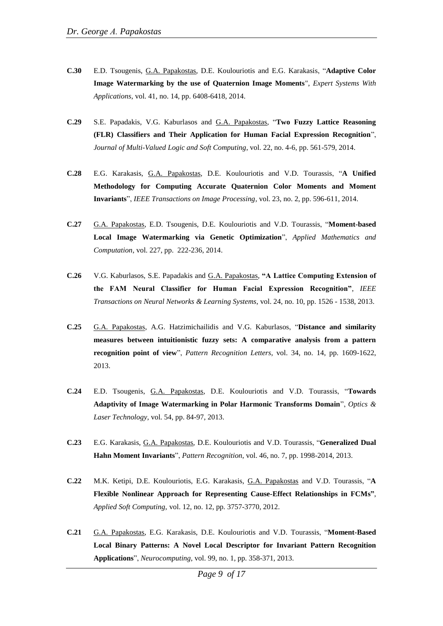- **C.30** E.D. Tsougenis, G.A. Papakostas, D.E. Koulouriotis and E.G. Karakasis, "**Adaptive Color Image Watermarking by the use of Quaternion Image Moments**", *Expert Systems With Applications*, vol. 41, no. 14, pp. 6408-6418, 2014.
- **C.29** S.E. Papadakis, V.G. Kaburlasos and G.A. Papakostas, "**Two Fuzzy Lattice Reasoning (FLR) Classifiers and Their Application for Human Facial Expression Recognition**", *Journal of Multi-Valued Logic and Soft Computing*, vol. 22, no. 4-6, pp. 561-579, 2014.
- **C.28** E.G. Karakasis, G.A. Papakostas, D.E. Koulouriotis and V.D. Tourassis, "**A Unified Methodology for Computing Accurate Quaternion Color Moments and Moment Invariants**", *IEEE Transactions on Image Processing,* vol. 23, no. 2, pp. 596-611, 2014.
- **C.27** G.A. Papakostas, E.D. Tsougenis, D.E. Koulouriotis and V.D. Tourassis, "**Moment-based Local Image Watermarking via Genetic Optimization**", *Applied Mathematics and Computation*, vol. 227, pp. 222-236, 2014.
- **C.26** V.G. Kaburlasos, S.E. Papadakis and G.A. Papakostas, **"A Lattice Computing Extension of the FAM Neural Classifier for Human Facial Expression Recognition"**, *IEEE Transactions on Neural Networks & Learning Systems*, vol. 24, no. 10, pp. 1526 - 1538, 2013.
- **C.25** G.A. Papakostas, A.G. Hatzimichailidis and V.G. Kaburlasos, "**Distance and similarity measures between intuitionistic fuzzy sets: A comparative analysis from a pattern recognition point of view**", *Pattern Recognition Letters*, vol. 34, no. 14, pp. 1609-1622, 2013.
- **C.24** E.D. Tsougenis, G.A. Papakostas, D.E. Koulouriotis and V.D. Tourassis, "**Towards Adaptivity of Image Watermarking in Polar Harmonic Transforms Domain**", *Optics & Laser Technology*, vol. 54, pp. 84-97, 2013.
- **C.23** E.G. Karakasis, G.A. Papakostas, D.E. Koulouriotis and V.D. Tourassis, "**Generalized Dual Hahn Moment Invariants**", *Pattern Recognition*, vol. 46, no. 7, pp. 1998-2014, 2013.
- **C.22** M.K. Ketipi, D.E. Koulouriotis, E.G. Karakasis, G.A. Papakostas and V.D. Tourassis, "**A Flexible Nonlinear Approach for Representing Cause-Effect Relationships in FCMs"**, *Applied Soft Computing*, vol. 12, no. 12, pp. 3757-3770, 2012.
- **C.21** G.A. Papakostas, E.G. Karakasis, D.E. Koulouriotis and V.D. Tourassis, "**Moment-Based Local Binary Patterns: A Novel Local Descriptor for Invariant Pattern Recognition Applications**", *Neurocomputing*, vol. 99, no. 1, pp. 358-371, 2013.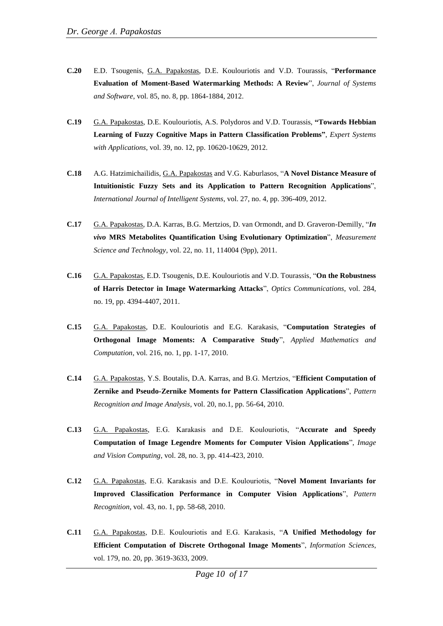- **C.20** E.D. Tsougenis, G.A. Papakostas, D.E. Koulouriotis and V.D. Tourassis, "**Performance Evaluation of Moment-Based Watermarking Methods: A Review**", *Journal of Systems and Software*, vol. 85, no. 8, pp. 1864-1884, 2012.
- **C.19** G.A. Papakostas, D.E. Koulouriotis, A.S. Polydoros and V.D. Tourassis, **"Towards Hebbian Learning of Fuzzy Cognitive Maps in Pattern Classification Problems"**, *Expert Systems with Applications*, vol. 39, no. 12, pp. 10620-10629, 2012.
- **C.18** A.G. Hatzimichailidis, G.A. Papakostas and V.G. Kaburlasos, "**A Novel Distance Measure of Intuitionistic Fuzzy Sets and its Application to Pattern Recognition Applications**", *International Journal of Intelligent Systems*, vol. 27, no. 4, pp. 396-409, 2012.
- **C.17** G.A. Papakostas, D.A. Karras, B.G. Mertzios, D. van Ormondt, and D. Graveron-Demilly, "*In vivo* **MRS Metabolites Quantification Using Evolutionary Optimization**", *Measurement Science and Technology*, vol. 22, no. 11, 114004 (9pp), 2011.
- **C.16** G.A. Papakostas, E.D. Tsougenis, D.E. Koulouriotis and V.D. Tourassis, "**On the Robustness of Harris Detector in Image Watermarking Attacks**", *Optics Communications*, vol. 284, no. 19, pp. 4394-4407, 2011.
- **C.15** G.A. Papakostas, D.E. Koulouriotis and E.G. Karakasis, "**Computation Strategies of Orthogonal Image Moments: A Comparative Study**", *Applied Mathematics and Computation*, vol. 216, no. 1, pp. 1-17, 2010.
- **C.14** G.A. Papakostas, Y.S. Boutalis, D.A. Karras, and B.G. Mertzios, "**Efficient Computation of Zernike and Pseudo-Zernike Moments for Pattern Classification Applications**", *Pattern Recognition and Image Analysis*, vol. 20, no.1, pp. 56-64, 2010.
- **C.13** G.A. Papakostas, E.G. Karakasis and D.E. Koulouriotis, "**Accurate and Speedy Computation of Image Legendre Moments for Computer Vision Applications**", *Image and Vision Computing*, vol. 28, no. 3, pp. 414-423, 2010.
- **C.12** G.A. Papakostas, E.G. Karakasis and D.E. Koulouriotis, "**Novel Moment Invariants for Improved Classification Performance in Computer Vision Applications**", *Pattern Recognition*, vol. 43, no. 1, pp. 58-68, 2010.
- **C.11** G.A. Papakostas, D.E. Koulouriotis and E.G. Karakasis, "**A Unified Methodology for Efficient Computation of Discrete Orthogonal Image Moments**", *Information Sciences*, vol. 179, no. 20, pp. 3619-3633, 2009.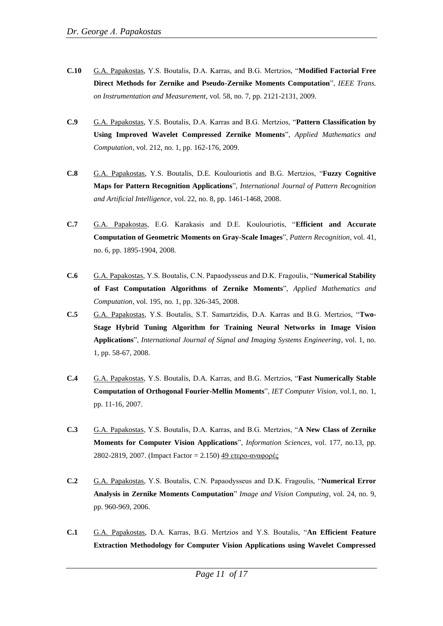- **C.10** G.A. Papakostas, Y.S. Boutalis, D.A. Karras, and B.G. Mertzios, "**Modified Factorial Free Direct Methods for Zernike and Pseudo-Zernike Moments Computation**", *IEEE Trans. on Instrumentation and Measurement*, vol. 58, no. 7, pp. 2121-2131, 2009.
- **C.9** G.A. Papakostas, Y.S. Boutalis, D.A. Karras and B.G. Mertzios, "**Pattern Classification by Using Improved Wavelet Compressed Zernike Moments**", *Applied Mathematics and Computation*, vol. 212, no. 1, pp. 162-176, 2009.
- **C.8** G.A. Papakostas, Y.S. Boutalis, D.E. Koulouriotis and B.G. Mertzios, "**Fuzzy Cognitive Maps for Pattern Recognition Applications**", *International Journal of Pattern Recognition and Artificial Intelligence*, vol. 22, no. 8, pp. 1461-1468, 2008.
- **C.7** G.A. Papakostas, E.G. Karakasis and D.E. Koulouriotis, "**Efficient and Accurate Computation of Geometric Moments on Gray-Scale Images**", *Pattern Recognition*, vol. 41, no. 6, pp. 1895-1904, 2008.
- **C.6** G.A. Papakostas, Y.S. Boutalis, C.N. Papaodysseus and D.K. Fragoulis, "**Numerical Stability of Fast Computation Algorithms of Zernike Moments**", *Applied Mathematics and Computation*, vol. 195, no. 1, pp. 326-345, 2008.
- **C.5** G.A. Papakostas, Y.S. Boutalis, S.T. Samartzidis, D.A. Karras and B.G. Mertzios, "**Two-Stage Hybrid Tuning Algorithm for Training Neural Networks in Image Vision Applications**", *International Journal of Signal and Imaging Systems Engineering*, vol. 1, no. 1, pp. 58-67, 2008.
- **C.4** G.A. Papakostas, Y.S. Boutalis, D.A. Karras, and B.G. Mertzios, "**Fast Numerically Stable Computation of Orthogonal Fourier-Mellin Moments**", *IET Computer Vision*, vol.1, no. 1, pp. 11-16, 2007.
- **C.3** G.A. Papakostas, Y.S. Boutalis, D.A. Karras, and B.G. Mertzios, "**A New Class of Zernike Moments for Computer Vision Applications**", *Information Sciences*, vol. 177, no.13, pp. 2802-2819, 2007. (Impact Factor = 2.150) 49 ετερο-αναφορές
- **C.2** G.A. Papakostas, Y.S. Boutalis, C.N. Papaodysseus and D.K. Fragoulis, "**Numerical Error Analysis in Zernike Moments Computation**" *Image and Vision Computing*, vol. 24, no. 9, pp. 960-969, 2006.
- **C.1** G.A. Papakostas, D.A. Karras, B.G. Mertzios and Y.S. Boutalis, "**An Efficient Feature Extraction Methodology for Computer Vision Applications using Wavelet Compressed**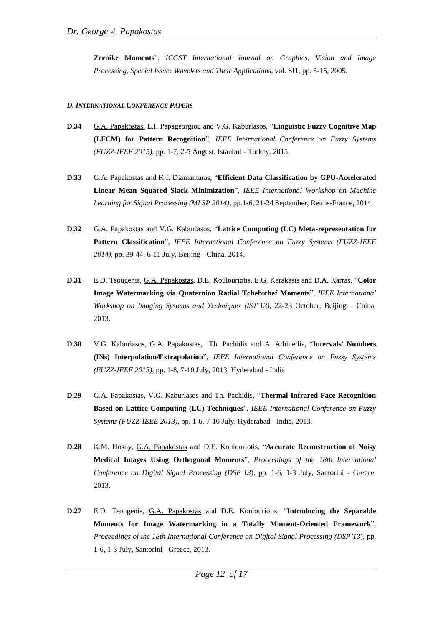**Zernike Moments**", *ICGST International Journal on Graphics, Vision and Image Processing, Special Issue: Wavelets and Their Applications*, vol. SI1, pp. 5-15, 2005.

#### *D. INTERNATIONAL CONFERENCE PAPERS*

- **D.34** G.A. Papakostas, E.I. Papageorgiou and V.G. Kaburlasos, "**Linguistic Fuzzy Cognitive Map (LFCM) for Pattern Recognition**", *IEEE International Conference on Fuzzy Systems (FUZZ-IEEE 2015)*, pp. 1-7, 2-5 August, Istanbul - Turkey, 2015.
- **D.33** G.A. Papakostas and K.I. Diamantaras, "**Efficient Data Classification by GPU-Accelerated Linear Mean Squared Slack Minimization**", *IEEE International Workshop on Machine Learning for Signal Processing (MLSP 2014)*, pp.1-6, 21-24 September, Reims-France, 2014.
- **D.32** G.A. Papakostas and V.G. Kaburlasos, "**Lattice Computing (LC) Meta-representation for Pattern Classification**", *IEEE International Conference on Fuzzy Systems (FUZZ-IEEE 2014)*, pp. 39-44, 6-11 July, Beijing - China, 2014.
- **D.31** E.D. Tsougenis, G.A. Papakostas, D.E. Koulouriotis, E.G. Karakasis and D.A. Karras, "**Color Image Watermarking via Quaternion Radial Tchebichef Moments**", *IEEE International Workshop on Imaging Systems and Techniques (IST'13)*, 22-23 October, Beijing – China, 2013.
- **D.30** V.G. Kaburlasos, G.A. Papakostas, Th. Pachidis and A. Athinellis, "**Intervals' Numbers (INs) Interpolation/Extrapolation**", *IEEE International Conference on Fuzzy Systems (FUZZ-IEEE 2013)*, pp. 1-8, 7-10 July, 2013, Hyderabad - India.
- **D.29** G.A. Papakostas, V.G. Kaburlasos and Th. Pachidis, "**Thermal Infrared Face Recognition Based on Lattice Computing (LC) Techniques**", *IEEE International Conference on Fuzzy Systems (FUZZ-IEEE 2013)*, pp. 1-6, 7-10 July, Hyderabad - India, 2013.
- **D.28** K.M. Hosny, G.A. Papakostas and D.E. Koulouriotis, "**Accurate Reconstruction of Noisy Medical Images Using Orthogonal Moments**", *Proceedings of the 18th International Conference on Digital Signal Processing (DSP'13*), pp. 1-6, 1-3 July, Santorini - Greece, 2013.
- **D.27** E.D. Tsougenis, G.A. Papakostas and D.E. Koulouriotis, "**Introducing the Separable Moments for Image Watermarking in a Totally Moment-Oriented Framework**", *Proceedings of the 18th International Conference on Digital Signal Processing (DSP'13*), pp. 1-6, 1-3 July, Santorini - Greece, 2013.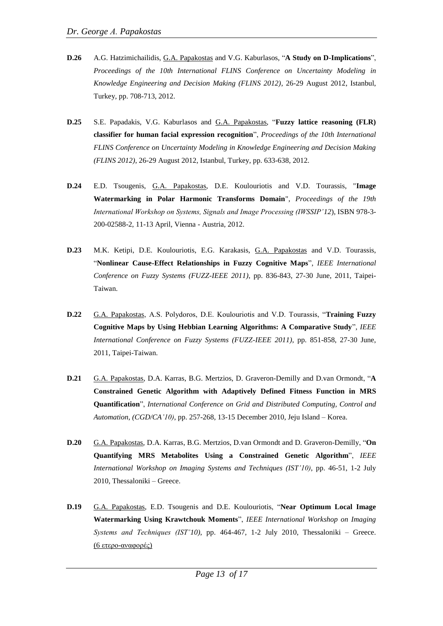- **D.26** A.G. Hatzimichailidis, G.A. Papakostas and V.G. Kaburlasos, "**A Study on D-Implications**", *Proceedings of the 10th International FLINS Conference on Uncertainty Modeling in Knowledge Engineering and Decision Making (FLINS 2012)*, 26-29 August 2012, Istanbul, Turkey, pp. 708-713, 2012.
- **D.25** S.E. Papadakis, V.G. Kaburlasos and G.A. Papakostas, "**Fuzzy lattice reasoning (FLR) classifier for human facial expression recognition**", *Proceedings of the 10th International FLINS Conference on Uncertainty Modeling in Knowledge Engineering and Decision Making (FLINS 2012)*, 26-29 August 2012, Istanbul, Turkey, pp. 633-638, 2012.
- **D.24** E.D. Tsougenis, G.A. Papakostas, D.E. Koulouriotis and V.D. Tourassis, "**Image Watermarking in Polar Harmonic Transforms Domain**", *Proceedings of the 19th International Workshop on Systems, Signals and Image Processing (IWSSIP'12*), ISBN 978-3- 200-02588-2, 11-13 April, Vienna - Austria, 2012.
- **D.23** M.K. Ketipi, D.E. Koulouriotis, E.G. Karakasis, G.A. Papakostas and V.D. Tourassis, "**Nonlinear Cause-Effect Relationships in Fuzzy Cognitive Maps**", *IEEE International Conference on Fuzzy Systems (FUZZ-IEEE 2011)*, pp. 836-843, 27-30 June, 2011, Taipei-Taiwan.
- **D.22** G.A. Papakostas, A.S. Polydoros, D.E. Koulouriotis and V.D. Tourassis, "**Training Fuzzy Cognitive Maps by Using Hebbian Learning Algorithms: A Comparative Study**", *IEEE International Conference on Fuzzy Systems (FUZZ-IEEE 2011)*, pp. 851-858, 27-30 June, 2011, Taipei-Taiwan.
- **D.21** G.A. Papakostas, D.A. Karras, B.G. Mertzios, D. Graveron-Demilly and D.van Ormondt, "**A Constrained Genetic Algorithm with Adaptively Defined Fitness Function in MRS Quantification**", *International Conference on Grid and Distributed Computing, Control and Automation*, *(CGD/CA'10)*, pp. 257-268, 13-15 December 2010, Jeju Island – Korea.
- **D.20** G.A. Papakostas, D.A. Karras, B.G. Mertzios, D.van Ormondt and D. Graveron-Demilly, "**On Quantifying MRS Metabolites Using a Constrained Genetic Algorithm**", *IEEE International Workshop on Imaging Systems and Techniques (IST'10)*, pp. 46-51, 1-2 July 2010, Thessaloniki – Greece.
- **D.19** G.A. Papakostas, E.D. Tsougenis and D.E. Koulouriotis, "**Near Optimum Local Image Watermarking Using Krawtchouk Moments**", *IEEE International Workshop on Imaging Systems and Techniques (IST'10)*, pp. 464-467, 1-2 July 2010, Thessaloniki – Greece. (6 ετερο-αναφορές)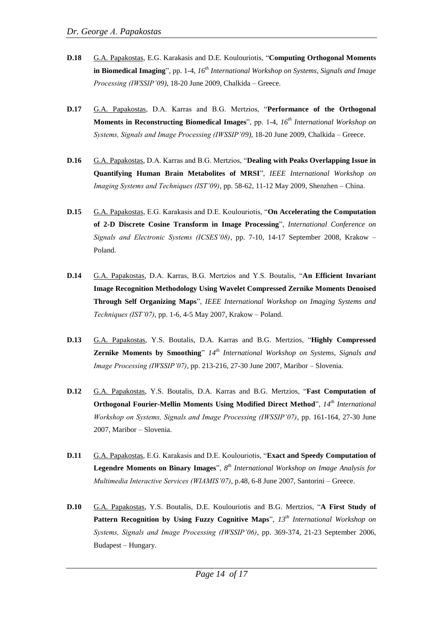- **D.18** G.A. Papakostas, E.G. Karakasis and D.E. Koulouriotis, "**Computing Orthogonal Moments in Biomedical Imaging**", pp. 1-4, *16 th International Workshop on Systems, Signals and Image Processing (IWSSIP'09)*, 18-20 June 2009, Chalkida – Greece.
- **D.17** G.A. Papakostas, D.A. Karras and B.G. Mertzios, "**Performance of the Orthogonal Moments in Reconstructing Biomedical Images**", pp. 1-4, *16 th International Workshop on Systems, Signals and Image Processing (IWSSIP'09)*, 18-20 June 2009, Chalkida – Greece.
- **D.16** G.A. Papakostas, D.A. Karras and B.G. Mertzios, "**Dealing with Peaks Overlapping Issue in Quantifying Human Brain Metabolites of MRSI**", *IEEE International Workshop on Imaging Systems and Techniques (IST'09)*, pp. 58-62, 11-12 May 2009, Shenzhen – China.
- **D.15** G.A. Papakostas, E.G. Karakasis and D.E. Koulouriotis, "**On Accelerating the Computation of 2-D Discrete Cosine Transform in Image Processing**", *International Conference on Signals and Electronic Systems (ICSES'08)*, pp. 7-10, 14-17 September 2008, Krakow – Poland.
- **D.14** G.A. Papakostas, D.A. Karras, B.G. Mertzios and Y.S. Boutalis, "**An Efficient Invariant Image Recognition Methodology Using Wavelet Compressed Zernike Moments Denoised Through Self Organizing Maps**", *IEEE International Workshop on Imaging Systems and Techniques (IST'07)*, pp. 1-6, 4-5 May 2007, Krakow – Poland.
- **D.13** G.A. Papakostas, Y.S. Boutalis, D.A. Karras and B.G. Mertzios, "**Highly Compressed Zernike Moments by Smoothing**" *14th International Workshop on Systems, Signals and Image Processing (IWSSIP'07)*, pp. 213-216, 27-30 June 2007, Maribor – Slovenia.
- **D.12** G.A. Papakostas, Y.S. Boutalis, D.A. Karras and B.G. Mertzios, "**Fast Computation of Orthogonal Fourier-Mellin Moments Using Modified Direct Method**", *14th International Workshop on Systems, Signals and Image Processing (IWSSIP'07)*, pp. 161-164, 27-30 June 2007, Maribor – Slovenia.
- **D.11** G.A. Papakostas, E.G. Karakasis and D.E. Koulouriotis, "**Exact and Speedy Computation of Legendre Moments on Binary Images**", *8 th International Workshop on Image Analysis for Multimedia Interactive Services (WIAMIS'07)*, p.48, 6-8 June 2007, Santorini – Greece.
- **D.10** G.A. Papakostas, Y.S. Boutalis, D.E. Koulouriotis and B.G. Mertzios, "**A First Study of Pattern Recognition by Using Fuzzy Cognitive Maps**", *13th International Workshop on Systems, Signals and Image Processing (IWSSIP'06)*, pp. 369-374, 21-23 September 2006, Budapest – Hungary.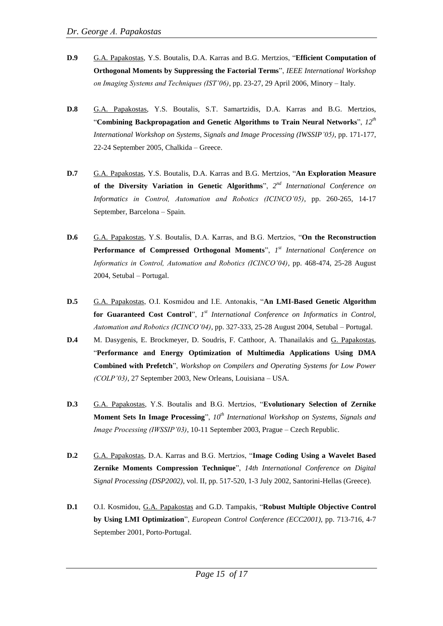- **D.9** G.A. Papakostas, Y.S. Boutalis, D.A. Karras and B.G. Mertzios, "**Efficient Computation of Orthogonal Moments by Suppressing the Factorial Terms**", *IEEE International Workshop on Imaging Systems and Techniques (IST'06)*, pp. 23-27, 29 April 2006, Minory – Italy.
- **D.8** G.A. Papakostas, Y.S. Boutalis, S.T. Samartzidis, D.A. Karras and B.G. Mertzios, "**Combining Backpropagation and Genetic Algorithms to Train Neural Networks**", *12th International Workshop on Systems, Signals and Image Processing (IWSSIP'05)*, pp. 171-177, 22-24 September 2005, Chalkida – Greece.
- **D.7** G.A. Papakostas, Y.S. Boutalis, D.A. Karras and B.G. Mertzios, "**An Exploration Measure**  of the Diversity Variation in Genetic Algorithms", 2<sup>nd</sup> International Conference on *Informatics in Control, Automation and Robotics (ICINCO'05)*, pp. 260-265, 14-17 September, Barcelona – Spain.
- **D.6** G.A. Papakostas, Y.S. Boutalis, D.A. Karras, and B.G. Mertzios, "**On the Reconstruction Performance of Compressed Orthogonal Moments**", *1 st International Conference on Informatics in Control, Automation and Robotics (ICINCO'04)*, pp. 468-474, 25-28 August 2004, Setubal – Portugal.
- **D.5** G.A. Papakostas, O.I. Kosmidou and I.E. Antonakis, "**An LMI-Based Genetic Algorithm**  for Guaranteed Cost Control", 1<sup>st</sup> International Conference on Informatics in Control, *Automation and Robotics (ICINCO'04)*, pp. 327-333, 25-28 August 2004, Setubal – Portugal.
- **D.4** M. Dasygenis, E. Brockmeyer, D. Soudris, F. Catthoor, A. Thanailakis and G. Papakostas, "**Performance and Energy Optimization of Multimedia Applications Using DMA Combined with Prefetch**", *Workshop on Compilers and Operating Systems for Low Power (COLP'03)*, 27 September 2003, New Orleans, Louisiana – USA.
- **D.3** G.A. Papakostas, Y.S. Boutalis and B.G. Mertzios, "**Evolutionary Selection of Zernike Moment Sets In Image Processing**", *10th International Workshop on Systems, Signals and Image Processing (IWSSIP'03)*, 10-11 September 2003, Prague – Czech Republic.
- **D.2** G.A. Papakostas, D.A. Karras and B.G. Mertzios, "**Image Coding Using a Wavelet Based Zernike Moments Compression Technique**", *14th International Conference on Digital Signal Processing (DSP2002)*, vol. II, pp. 517-520, 1-3 July 2002, Santorini-Hellas (Greece).
- **D.1** O.I. Kosmidou, G.A. Papakostas and G.D. Tampakis, "**Robust Multiple Objective Control by Using LMI Optimization**", *European Control Conference (ECC2001)*, pp. 713-716, 4-7 September 2001, Porto-Portugal.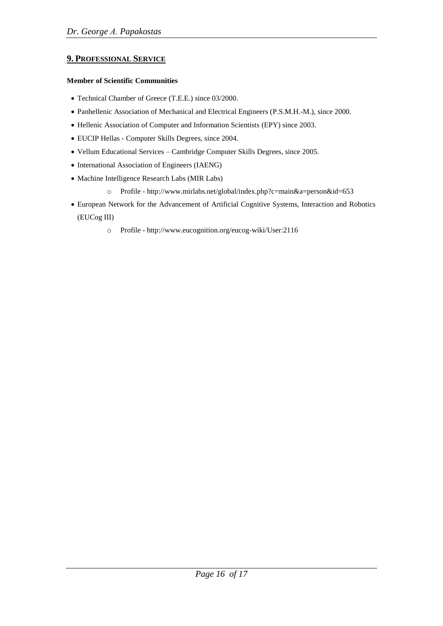# **9. PROFESSIONAL SERVICE**

#### **Member of Scientific Communities**

- Technical Chamber of Greece (T.E.E.) since 03/2000.
- Panhellenic Association of Mechanical and Electrical Engineers (P.S.M.Η.-Μ.), since 2000.
- Hellenic Association of Computer and Information Scientists (ΕPΥ) since 2003.
- EUCIP Hellas Computer Skills Degrees, since 2004.
- Vellum Educational Services Cambridge Computer Skills Degrees, since 2005.
- International Association of Engineers (IAENG)
- Machine Intelligence Research Labs (MIR Labs)
	- o Profile http://www.mirlabs.net/global/index.php?c=main&a=person&id=653
- European Network for the Advancement of Artificial Cognitive Systems, Interaction and Robotics (EUCog III)
	- o Profile http://www.eucognition.org/eucog-wiki/User:2116